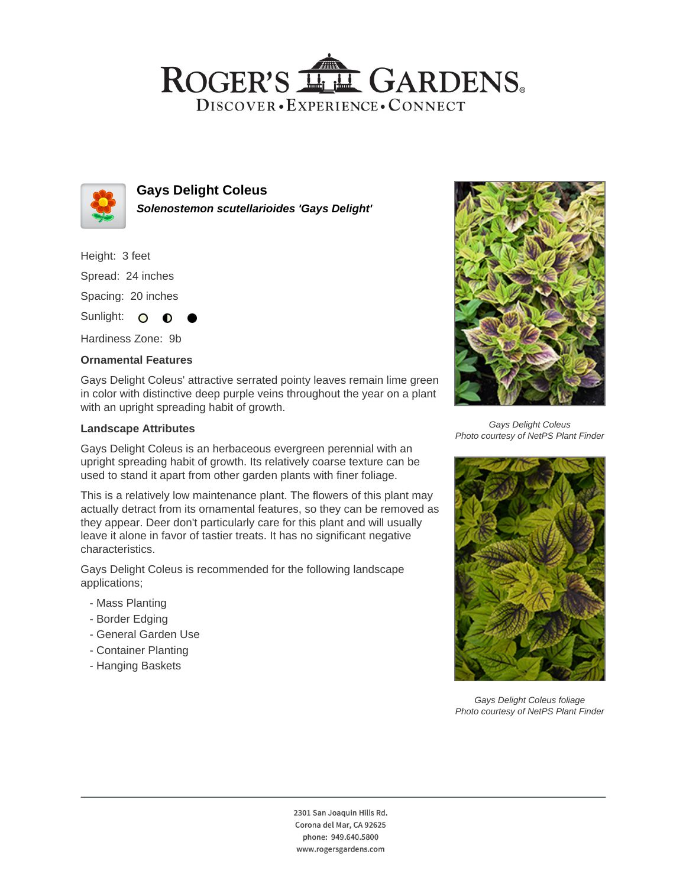## ROGER'S LL GARDENS. DISCOVER · EXPERIENCE · CONNECT



### **Gays Delight Coleus Solenostemon scutellarioides 'Gays Delight'**

Height: 3 feet Spread: 24 inches Spacing: 20 inches

Sunlight: O  $\bullet$ 

Hardiness Zone: 9b

#### **Ornamental Features**

Gays Delight Coleus' attractive serrated pointy leaves remain lime green in color with distinctive deep purple veins throughout the year on a plant with an upright spreading habit of growth.

#### **Landscape Attributes**

Gays Delight Coleus is an herbaceous evergreen perennial with an upright spreading habit of growth. Its relatively coarse texture can be used to stand it apart from other garden plants with finer foliage.

This is a relatively low maintenance plant. The flowers of this plant may actually detract from its ornamental features, so they can be removed as they appear. Deer don't particularly care for this plant and will usually leave it alone in favor of tastier treats. It has no significant negative characteristics.

Gays Delight Coleus is recommended for the following landscape applications;

- Mass Planting
- Border Edging
- General Garden Use
- Container Planting
- Hanging Baskets



Gays Delight Coleus Photo courtesy of NetPS Plant Finder



Gays Delight Coleus foliage Photo courtesy of NetPS Plant Finder

2301 San Joaquin Hills Rd. Corona del Mar, CA 92625 phone: 949.640.5800 www.rogersgardens.com